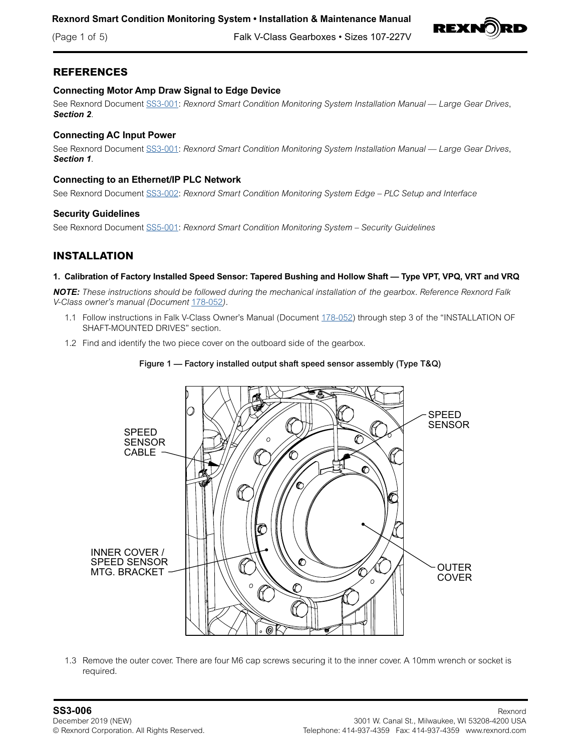(Page 1 of 5) Falk V-Class Gearboxes • Sizes 107-227V



# **REFERENCES**

## **Connecting Motor Amp Draw Signal to Edge Device**

See Rexnord Document [SS3-001](https://www.rexnord.com/contentitems/techlibrary/documents/smart-solutions/ss3-001_manual): Rexnord Smart Condition Monitoring System Installation Manual — Large Gear Drives, *Section 2*.

## **Connecting AC Input Power**

See Rexnord Document [SS3-001](https://www.rexnord.com/contentitems/techlibrary/documents/smart-solutions/ss3-001_manual): *Rexnord Smart Condition Monitoring System Installation Manual — Large Gear Drives*, *Section 1*.

## **Connecting to an Ethernet/IP PLC Network**

See Rexnord Document [SS3-002](https://www.rexnord.com/contentitems/techlibrary/documents/smart-solutions/ss3-002_manual): *Rexnord Smart Condition Monitoring System Edge – PLC Setup and Interface*

## **Security Guidelines**

See Rexnord Document [SS5-001](https://www.rexnord.com/contentitems/techlibrary/documents/smart-solutions/ss5-001_securityguidelines): *Rexnord Smart Condition Monitoring System – Security Guidelines*

# **INSTALLATION**

#### **1. Calibration of Factory Installed Speed Sensor: Tapered Bushing and Hollow Shaft — Type VPT, VPQ, VRT and VRQ**

*NOTE: These instructions should be followed during the mechanical installation of the gearbox. Reference Rexnord Falk V-Class owner's manual (Document* [178-052](https://www.rexnord.com/contentitems/techlibrary/documents/178-052_manual)*).*

- 1.1 Follow instructions in Falk V-Class Owner's Manual (Document [178-052\)](https://www.rexnord.com/contentitems/techlibrary/documents/178-052_manual) through step 3 of the "INSTALLATION OF SHAFT-MOUNTED DRIVES" section.
- 1.2 Find and identify the two piece cover on the outboard side of the gearbox.

## Figure 1 — Factory installed output shaft speed sensor assembly (Type T&Q)



1.3 Remove the outer cover. There are four M6 cap screws securing it to the inner cover. A 10mm wrench or socket is required.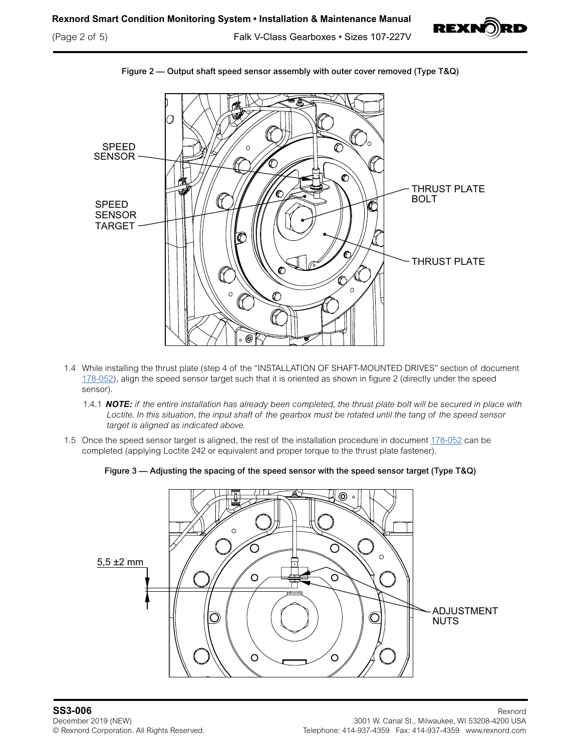(Page 2 of 5) Falk V-Class Gearboxes • Sizes 107-227V





Figure 2 — Output shaft speed sensor assembly with outer cover removed (Type T&Q)

- 1.4 While installing the thrust plate (step 4 of the "INSTALLATION OF SHAFT-MOUNTED DRIVES" section of document [178-052](https://www.rexnord.com/contentitems/techlibrary/documents/178-052_manual)), align the speed sensor target such that it is oriented as shown in figure 2 (directly under the speed sensor).
	- 1.4.1 *NOTE: if the entire installation has already been completed, the thrust plate bolt will be secured in place with Loctite. In this situation, the input shaft of the gearbox must be rotated until the tang of the speed sensor target is aligned as indicated above.*
- 1.5 Once the speed sensor target is aligned, the rest of the installation procedure in document [178-052](https://www.rexnord.com/contentitems/techlibrary/documents/178-052_manual) can be completed (applying Loctite 242 or equivalent and proper torque to the thrust plate fastener).



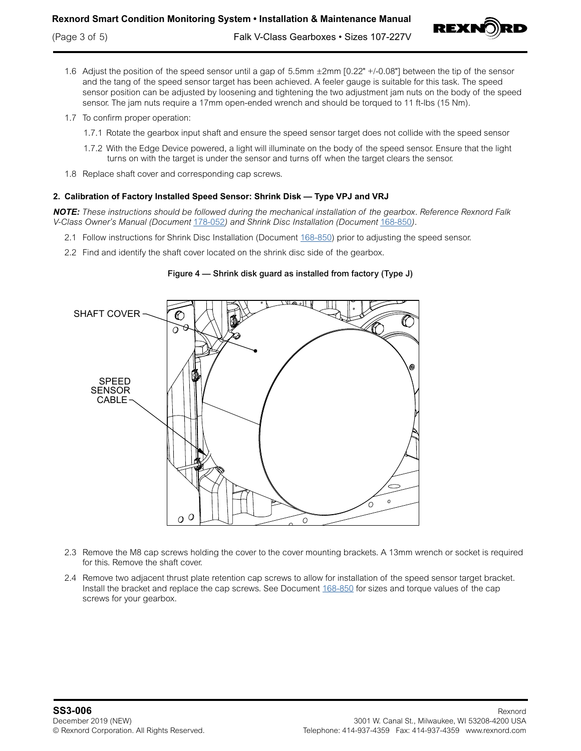## **Rexnord Smart Condition Monitoring System • Installation & Maintenance Manual**



- 1.6 Adjust the position of the speed sensor until a gap of 5.5mm ±2mm [0.22" +/-0.08"] between the tip of the sensor and the tang of the speed sensor target has been achieved. A feeler gauge is suitable for this task. The speed sensor position can be adjusted by loosening and tightening the two adjustment jam nuts on the body of the speed sensor. The jam nuts require a 17mm open-ended wrench and should be torqued to 11 ft-lbs (15 Nm).
- 1.7 To confirm proper operation:
	- 1.7.1 Rotate the gearbox input shaft and ensure the speed sensor target does not collide with the speed sensor
	- 1.7.2 With the Edge Device powered, a light will illuminate on the body of the speed sensor. Ensure that the light turns on with the target is under the sensor and turns off when the target clears the sensor.
- 1.8 Replace shaft cover and corresponding cap screws.

## **2. Calibration of Factory Installed Speed Sensor: Shrink Disk — Type VPJ and VRJ**

*NOTE: These instructions should be followed during the mechanical installation of the gearbox. Reference Rexnord Falk V-Class Owner's Manual (Document* [178-052](https://www.rexnord.com/contentitems/techlibrary/documents/178-052_manual)*) and Shrink Disc Installation (Document* [168-850](https://www.rexnord.com/contentitems/techlibrary/documents/168-850_manual)*).*

- 2.1 Follow instructions for Shrink Disc Installation (Document [168-850\)](https://www.rexnord.com/contentitems/techlibrary/documents/168-850_manual) prior to adjusting the speed sensor.
- 2.2 Find and identify the shaft cover located on the shrink disc side of the gearbox.



Figure 4 — Shrink disk guard as installed from factory (Type J)

- 2.3 Remove the M8 cap screws holding the cover to the cover mounting brackets. A 13mm wrench or socket is required for this. Remove the shaft cover.
- 2.4 Remove two adjacent thrust plate retention cap screws to allow for installation of the speed sensor target bracket. Install the bracket and replace the cap screws. See Document [168-850](https://www.rexnord.com/contentitems/techlibrary/documents/168-850_manual) for sizes and torque values of the cap screws for your gearbox.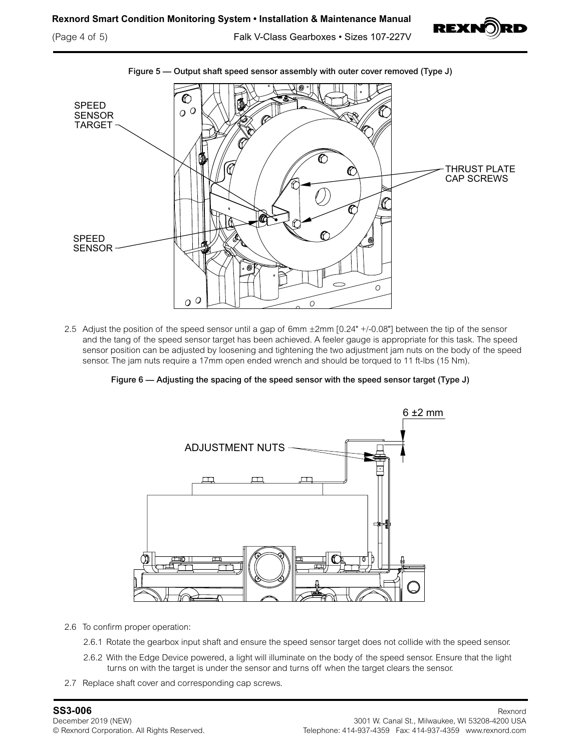

(Page 4 of 5) Falk V-Class Gearboxes • Sizes 107-227V



2.5 Adjust the position of the speed sensor until a gap of 6mm ±2mm [0.24" +/-0.08"] between the tip of the sensor and the tang of the speed sensor target has been achieved. A feeler gauge is appropriate for this task. The speed sensor position can be adjusted by loosening and tightening the two adjustment jam nuts on the body of the speed sensor. The jam nuts require a 17mm open ended wrench and should be torqued to 11 ft-lbs (15 Nm).

Figure 6 — Adjusting the spacing of the speed sensor with the speed sensor target (Type J)



2.6 To confirm proper operation:

- 2.6.1 Rotate the gearbox input shaft and ensure the speed sensor target does not collide with the speed sensor.
- 2.6.2 With the Edge Device powered, a light will illuminate on the body of the speed sensor. Ensure that the light turns on with the target is under the sensor and turns off when the target clears the sensor.
- 2.7 Replace shaft cover and corresponding cap screws.